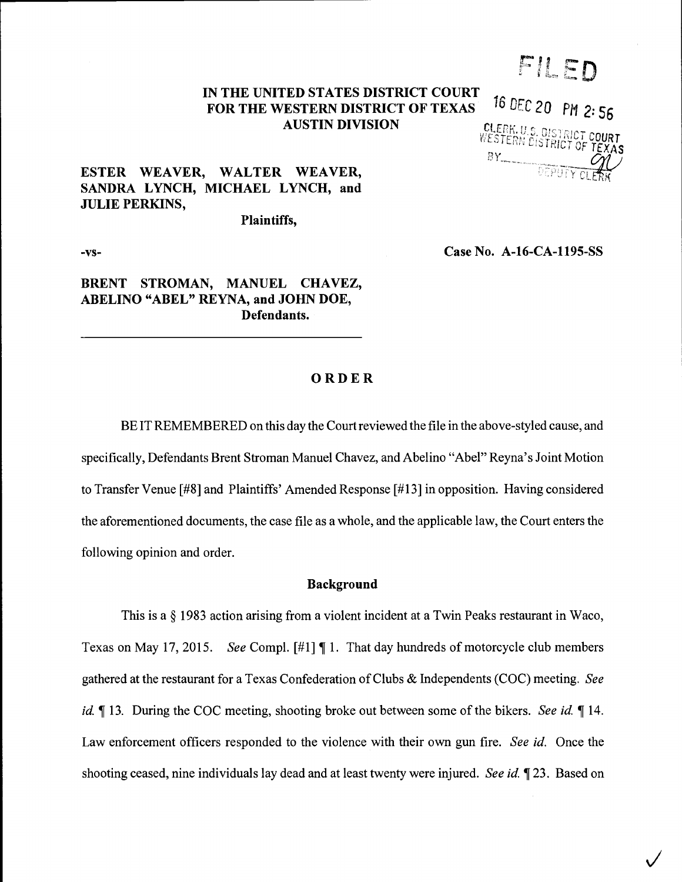# FILED

#### IN THE UNITED STATES DISTRICT COURT FOR THE WESTERN DISTRICT OF TEXAS AUSTIN DIVISION 16 DEC 20 PM 2:56

CLERK, U.S. DISTRICT COURT<br>WESTERN DISTRICT OF TEXAS BY DEPUT

 $\checkmark$ 

# ESTER WEAVER, WALTER WEAVER, SANDRA LYNCH, MICHAEL LYNCH, and JULIE PERKINS,

Plaintiffs,

-vs-

Case No. A-16-CA-1195-SS

# BRENT STROMAN, MANUEL CHAVEZ, ABELINO "ABEL" REYNA, and JOHN DOE, Defendants.

#### ORDER

BE IT REMEMBERED on this day the Court reviewed the file in the above-styled cause, and specifically, Defendants Brent Stroman Manuel Chavez, and Abelino "Abel" Reyna's Joint Motion to Transfer Venue [#8] and Plaintiffs' Amended Response [#13] in opposition. Having considered the aforementioned documents, the case file as a whole, and the applicable law, the Court enters the following opinion and order.

## Background

This is a § 1983 action arising from a violent incident at a Twin Peaks restaurant in Waco, Texas on May 17, 2015. See Compl. [#1] ¶ 1. That day hundreds of motorcycle club members gathered at the restaurant for a Texas Confederation of Clubs & Independents (COC) meeting. See *id.*  $\parallel$  13. During the COC meeting, shooting broke out between some of the bikers. See id.  $\parallel$  14. Law enforcement officers responded to the violence with their own gun fire. See id. Once the shooting ceased, nine individuals lay dead and at least twenty were injured. See id. 123. Based on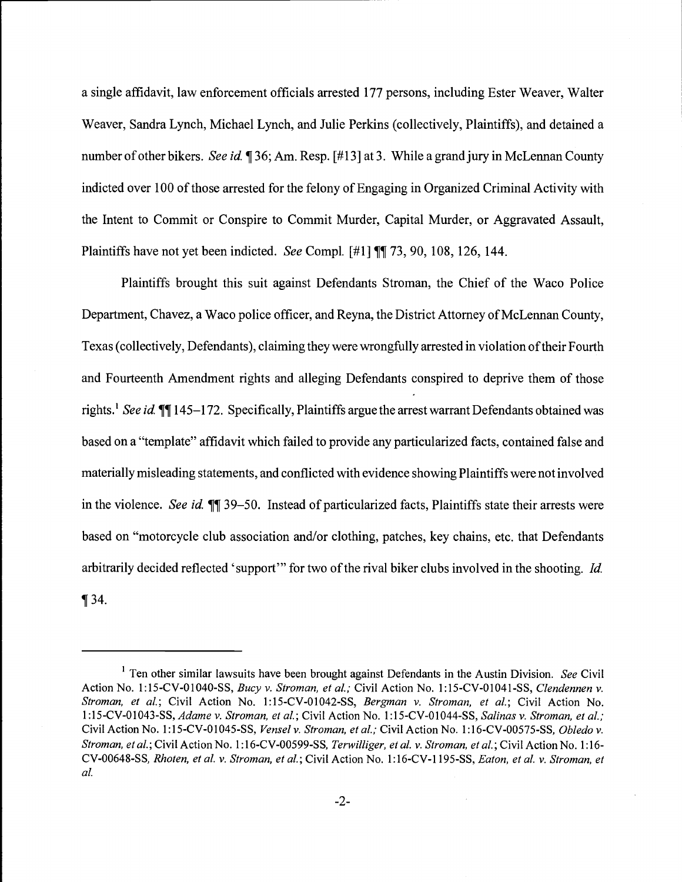a single affidavit, law enforcement officials arrested 177 persons, including Ester Weaver, Walter Weaver, Sandra Lynch, Michael Lynch, and Julie Perkins (collectively, Plaintiffs), and detained a number of other bikers. See id. ¶ 36; Am. Resp. [#13] at 3. While a grand jury in McLennan County indicted over 100 of those arrested for the felony of Engaging in Organized Criminal Activity with the Intent to Commit or Conspire to Commit Murder, Capital Murder, or Aggravated Assault, Plaintiffs have not yet been indicted. See Compl.  $[#1] \P[ 73, 90, 108, 126, 144.$ 

Plaintiffs brought this suit against Defendants Stroman, the Chief of the Waco Police Department, Chavez, a Waco police officer, and Reyna, the District Attorney of McLennan County, Texas (collectively, Defendants), claiming they were wrongfully arrested in violation of their Fourth and Fourteenth Amendment rights and alleging Defendants conspired to deprive them of those rights.<sup>1</sup> See id.  $\P$ [145-172. Specifically, Plaintiffs argue the arrest warrant Defendants obtained was based on a "template" affidavit which failed to provide any particularized facts, contained false and materially misleading statements, and conflicted with evidence showing Plaintiffs were not involved in the violence. See id.  $\P$  39–50. Instead of particularized facts, Plaintiffs state their arrests were based on "motorcycle club association and/or clothing, patches, key chains, etc. that Defendants arbitrarily decided reflected 'support'" for two of the rival biker clubs involved in the shooting. Id.  $\P$  34.

<sup>&</sup>lt;sup>1</sup> Ten other similar lawsuits have been brought against Defendants in the Austin Division. See Civil Action No. 1:15-CV-01040-SS, Bucy v. Stroman, et al.; Civil Action No. 1:15-CV-01041-SS, Clendennen v. Stroman, et al.; Civil Action No. 1:15-CV-01042-SS, Bergman v. Stroman, et al.; Civil Action No. 1:15-CV-01043-SS, Adame v. Stroman, et al.; Civil Action No. 1:15-CV-01044-SS, Salinas v. Stroman, et al.; Civil Action No. 1:15-CV-01045-SS, Vensel v. Stroman, et al.; Civil Action No. 1:16-CV-00575-SS, Obledo v. Stroman, et al.; Civil Action No. 1:16-CV-00599-SS, Terwilliger, et al. v. Stroman, et al.; Civil Action No. 1:16-CV-00648-SS, Rhoten, et al. v. Stroman, et al.; Civil Action No. 1:16-CV-1195-SS, Eaton, et al. v. Stroman, et al.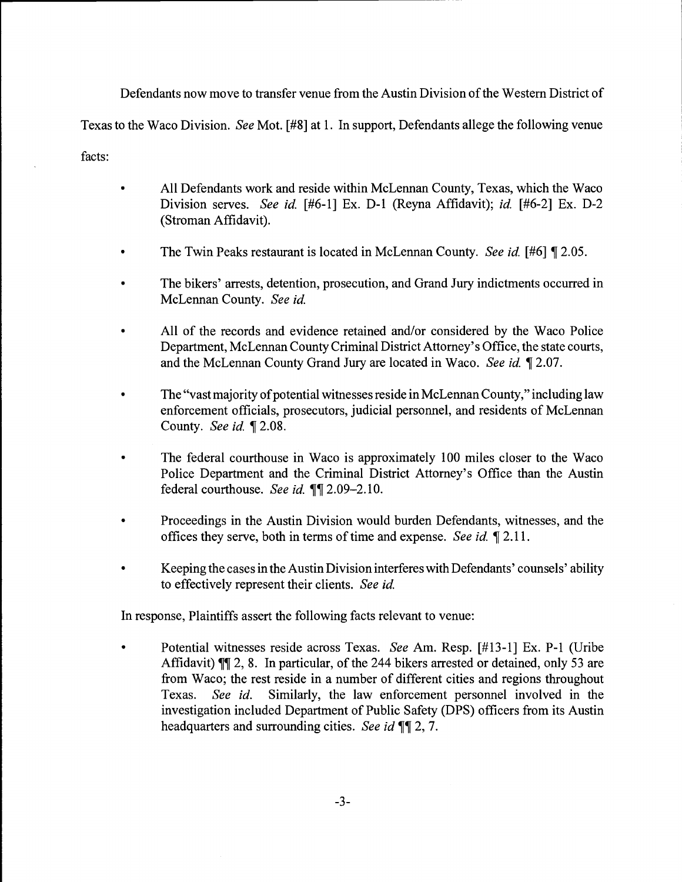Defendants now move to transfer venue from the Austin Division of the Western District of Texas to the Waco Division. See Mot. [#8] at 1. In support, Defendants allege the following venue facts:

- All Defendants work and reside within McLennan County, Texas, which the Waco  $\bullet$ Division serves. See id. [#6-1] Ex. D-1 (Reyna Affidavit); id. [#6-2] Ex. D-2 (Stroman Affidavit).
- The Twin Peaks restaurant is located in McLennan County. See id. [#6] [2.05.
- The bikers' arrests, detention, prosecution, and Grand Jury indictments occurred in McLennan County. See id.
- All of the records and evidence retained and/or considered by the Waco Police Department, McLennan County Criminal District Attorney's Office, the state courts, and the McLennan County Grand Jury are located in Waco. See id. ¶ 2.07.
- The "vast majority of potential witnesses reside in McLennan County," including law enforcement officials, prosecutors, judicial personnel, and residents of McLennan County. See id. ¶ 2.08.
- The federal courthouse in Waco is approximately 100 miles closer to the Waco  $\bullet$ Police Department and the Criminal District Attorney's Office than the Austin federal courthouse. See id.  $\P$ [2.09-2.10.
- Proceedings in the Austin Division would burden Defendants, witnesses, and the offices they serve, both in terms of time and expense. See id. 1 2.11.
- Keeping the cases in the Austin Division interferes with Defendants' counsels' ability to effectively represent their clients. See id.

In response, Plaintiffs assert the following facts relevant to venue:

 $\bullet$ Potential witnesses reside across Texas. See Am. Resp. [#13-1] Ex. P-i (Uribe Affidavit)  $\P$  2, 8. In particular, of the 244 bikers arrested or detained, only 53 are from Waco; the rest reside in a number of different cities and regions throughout Texas. See id. Similarly, the law enforcement personnel involved in the investigation included Department of Public Safety (DPS) officers from its Austin headquarters and surrounding cities. See id  $\P$ [2, 7.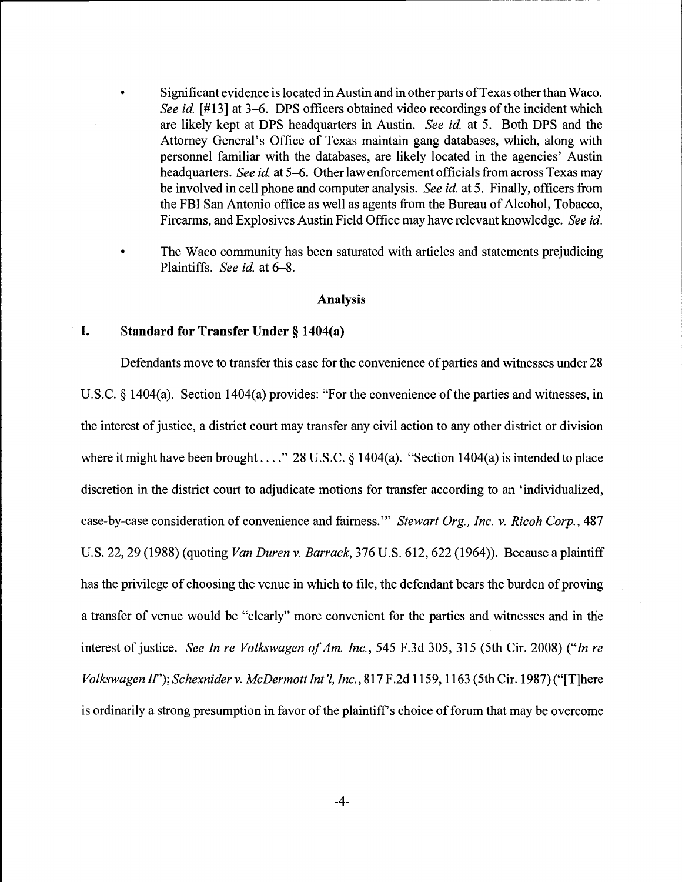- Significant evidence is located in Austin and in other parts of Texas other than Waco. See id. [#13] at 3–6. DPS officers obtained video recordings of the incident which are likely kept at DPS headquarters in Austin. See id. at 5. Both DPS and the Attorney General's Office of Texas maintain gang databases, which, along with personnel familiar with the databases, are likely located in the agencies' Austin headquarters. See id. at 5-6. Other law enforcement officials from across Texas may be involved in cell phone and computer analysis. See id. at 5. Finally, officers from the FBI San Antonio office as well as agents from the Bureau of Alcohol, Tobacco, Firearms, and Explosives Austin Field Office may have relevant knowledge. See id.
- The Waco community has been saturated with articles and statements prejudicing Plaintiffs. See id. at 6-8.

#### Analysis

## I. Standard for Transfer Under § 1404(a)

Defendants move to transfer this case for the convenience of parties and witnesses under 28 U.S.C. § 1404(a). Section 1404(a) provides: "For the convenience of the parties and witnesses, in the interest of justice, a district court may transfer any civil action to any other district or division where it might have been brought . . . ." 28 U.S.C.  $\S$  1404(a). "Section 1404(a) is intended to place discretion in the district court to adjudicate motions for transfer according to an 'individualized, case-by-case consideration of convenience and fairness."" Stewart Org., Inc. v. Ricoh Corp., 487 U.S. 22, 29 (1988) (quoting Van Duren v. Barrack, 376 U.S. 612, 622 (1964)). Because a plaintiff has the privilege of choosing the venue in which to file, the defendant bears the burden of proving a transfer of venue would be "clearly" more convenient for the parties and witnesses and in the interest of justice. See In re Volkswagen of Am. Inc., 545 F.3d 305, 315 (5th Cir. 2008) ("In re Volkswagen II"); Schexnider v. McDermott Int'l, Inc., 817 F.2d 1159, 1163 (5th Cir. 1987) ("[Tjhere is ordinarily a strong presumption in favor of the plaintiff's choice of forum that may be overcome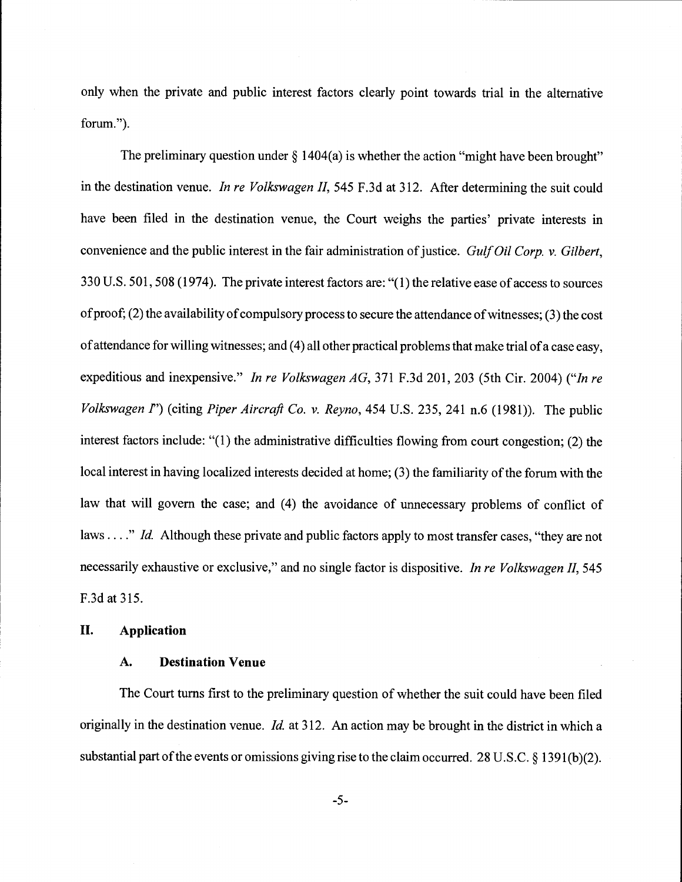only when the private and public interest factors clearly point towards trial in the alternative forum.")

The preliminary question under  $\S$  1404(a) is whether the action "might have been brought" in the destination venue. In re Volkswagen II, 545 F.3d at 312. After determining the suit could have been filed in the destination venue, the Court weighs the parties' private interests in convenience and the public interest in the fair administration of justice. Gulf Oil Corp. v. Gilbert, 330 U.S. 501, 508 (1974). The private interest factors are: "(1) the relative ease of access to sources of proof; (2) the availability of compulsory process to secure the attendance of witnesses; (3) the cost of attendance for willing witnesses; and (4) all other practical problems that make trial of a case easy, expeditious and inexpensive." In re Volkswagen AG, 371 F.3d 201, 203 (5th Cir. 2004) ("In re Volkswagen  $I'$ ) (citing Piper Aircraft Co. v. Reyno, 454 U.S. 235, 241 n.6 (1981)). The public interest factors include: "(1) the administrative difficulties flowing from court congestion; (2) the local interest in having localized interests decided at home; (3) the familiarity of the forum with the law that will govern the case; and (4) the avoidance of unnecessary problems of conflict of laws...." Id. Although these private and public factors apply to most transfer cases, "they are not necessarily exhaustive or exclusive," and no single factor is dispositive. In re Volkswagen II, 545 F.3d at 315.

#### II. Application

#### A. Destination Venue

The Court turns first to the preliminary question of whether the suit could have been filed originally in the destination venue. *Id.* at 312. An action may be brought in the district in which a substantial part of the events or omissions giving rise to the claim occurred. 28 U.S.C. § 1391(b)(2).

-5-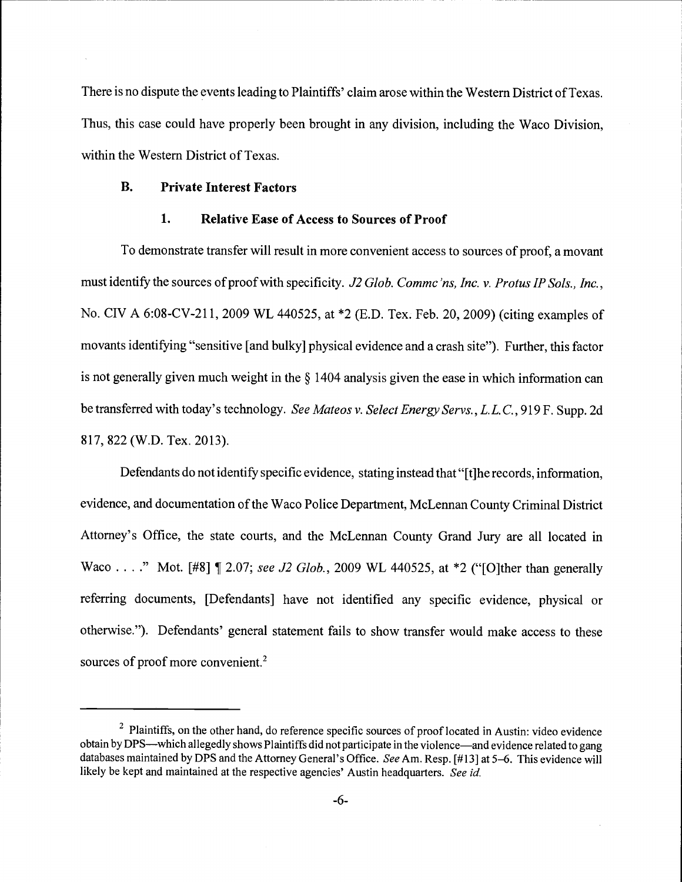There is no dispute the events leading to Plaintiffs' claim arose within the Western District of Texas. Thus, this case could have properly been brought in any division, including the Waco Division, within the Western District of Texas.

# B. Private Interest Factors

## 1. Relative Ease of Access to Sources of Proof

To demonstrate transfer will result in more convenient access to sources of proof, a movant must identify the sources of proof with specificity. J2 Glob. Comme'ns, Inc. v. Protus IP Sols., Inc., No. CIV A 6:08-CV-211, 2009 WL 440525, at \*2 (E.D. Tex. Feb. 20, 2009) (citing examples of movants identifying "sensitive [and bulky] physical evidence and a crash site"). Further, this factor is not generally given much weight in the § 1404 analysis given the ease in which information can be transferred with today's technology. See Mateos v. Select Energy Servs., L.L.C., 919 F. Supp. 2d 817, 822 (W.D. Tex. 2013).

Defendants do not identify specific evidence, stating instead that "[t]he records, information, evidence, and documentation of the Waco Police Department, McLennan County Criminal District Attorney's Office, the state courts, and the McLennan County Grand Jury are all located in Waco . . . ." Mot.  $[#8] \P 2.07$ ; see J2 Glob., 2009 WL 440525, at \*2 ("[O]ther than generally referring documents, [Defendants] have not identified any specific evidence, physical or otherwise."). Defendants' general statement fails to show transfer would make access to these sources of proof more convenient.<sup>2</sup>

<sup>&</sup>lt;sup>2</sup> Plaintiffs, on the other hand, do reference specific sources of proof located in Austin: video evidence obtain by DPS—which allegedly shows Plaintiffs did not participate in the violence—and evidence related to gang databases maintained by DPS and the Attorney General's Office. See Am. Resp. [#13] at 5-6. This evidence will likely be kept and maintained at the respective agencies' Austin headquarters. See id.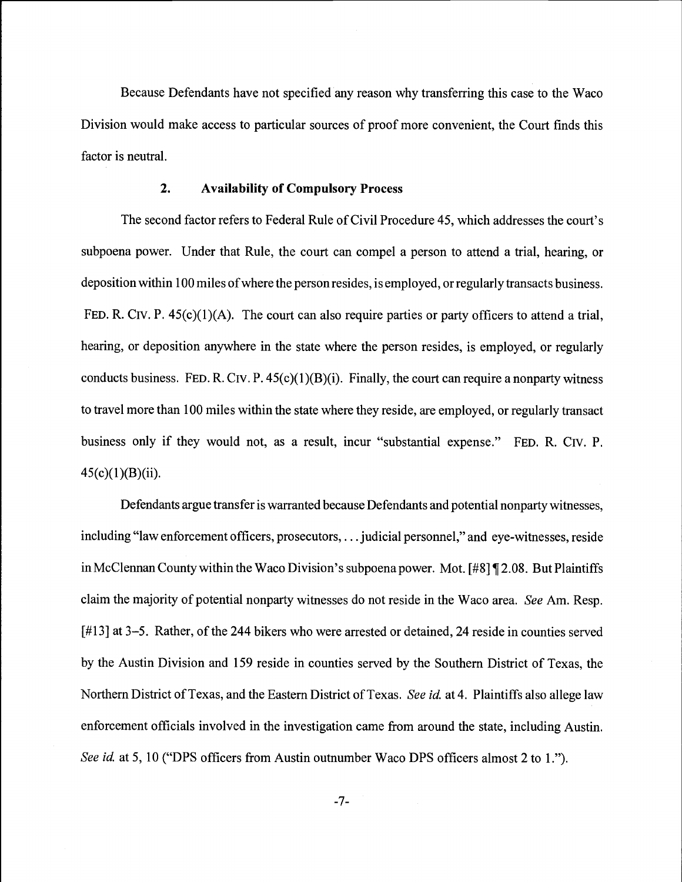Because Defendants have not specified any reason why transferring this case to the Waco Division would make access to particular sources of proof more convenient, the Court finds this factor is neutral.

## 2. Availability of Compulsory Process

The second factor refers to Federal Rule of Civil Procedure 45, which addresses the court's subpoena power. Under that Rule, the court can compel a person to aftend a trial, hearing, or deposition within 100 miles of where the person resides, is employed, or regularly transacts business. FED. R. CIV. P. 45(c)(1)(A). The court can also require parties or party officers to attend a trial, hearing, or deposition anywhere in the state where the person resides, is employed, or regularly conducts business. FED. R. CIV. P.  $45(c)(1)(B)(i)$ . Finally, the court can require a nonparty witness to travel more than 100 miles within the state where they reside, are employed, or regularly transact business only if they would not, as a result, incur "substantial expense." FED. R. Civ. P.  $45(c)(1)(B)(ii)$ .

Defendants argue transfer is warranted because Defendants and potential nonparty witnesses, including "law enforcement officers, prosecutors,.. . judicial personnel," and eye-witnesses, reside in McClennan County within the Waco Division's subpoena power. Mot. [#8] ¶ 2.08. But Plaintiffs claim the majority of potential nonparty witnesses do not reside in the Waco area. See Am. Resp. [#13] at 3-5. Rather, of the 244 bikers who were arrested or detained, 24 reside in counties served by the Austin Division and 159 reside in counties served by the Southern District of Texas, the Northern District of Texas, and the Eastern District of Texas. See id. at 4. Plaintiffs also allege law enforcement officials involved in the investigation came from around the state, including Austin. See id. at 5, 10 ("DPS officers from Austin outnumber Waco DPS officers almost 2 to 1.").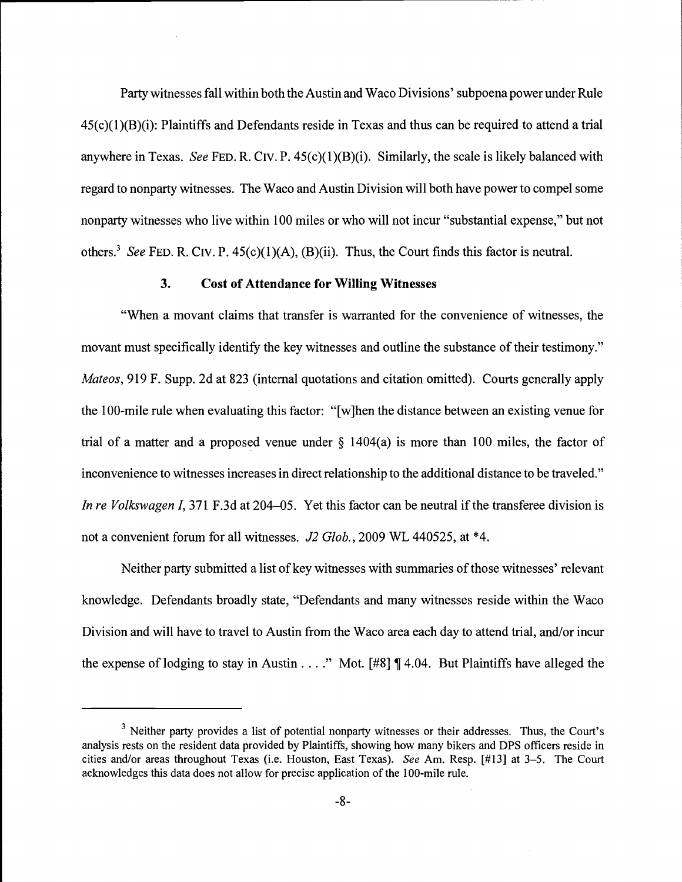Party witnesses fall within both the Austin and Waco Divisions' subpoena power under Rule  $45(c)(1)(B)(i)$ : Plaintiffs and Defendants reside in Texas and thus can be required to attend a trial anywhere in Texas. See FED. R. CIV. P.  $45(c)(1)(B)(i)$ . Similarly, the scale is likely balanced with regard to nonparty witnesses. The Waco and Austin Division will both have power to compel some nonparty witnesses who live within 100 miles or who will not incur "substantial expense," but not others.<sup>3</sup> See FED. R. CIV. P.  $45(c)(1)(A)$ , (B)(ii). Thus, the Court finds this factor is neutral.

# 3. Cost of Attendance for Willing Witnesses

"When a movant claims that transfer is warranted for the convenience of witnesses, the movant must specifically identify the key witnesses and outline the substance of their testimony." Mateos, 919 F. Supp. 2d at 823 (internal quotations and citation omitted). Courts generally apply the 100-mile rule when evaluating this factor: "[w]hen the distance between an existing venue for trial of a matter and a proposed venue under  $\S$  1404(a) is more than 100 miles, the factor of inconvenience to witnesses increases in direct relationship to the additional distance to be traveled." In re Volkswagen I, 371 F.3d at 204–05. Yet this factor can be neutral if the transferee division is not a convenient forum for all witnesses. J2 Glob., 2009 WL 440525, at \*4.

Neither party submitted a list of key witnesses with summaries of those witnesses' relevant knowledge. Defendants broadly state, "Defendants and many witnesses reside within the Waco Division and will have to travel to Austin from the Waco area each day to attend trial, and/or incur the expense of lodging to stay in Austin...." Mot.  $[#8] \P 4.04$ . But Plaintiffs have alleged the

 $3$  Neither party provides a list of potential nonparty witnesses or their addresses. Thus, the Court's analysis rests on the resident data provided by Plaintiffs, showing how many bikers and DPS officers reside in cities and/or areas throughout Texas (i.e. Houston, East Texas). See Am. Resp. [#13] at 3-5. The Court acknowledges this data does not allow for precise application of the 100-mile rule.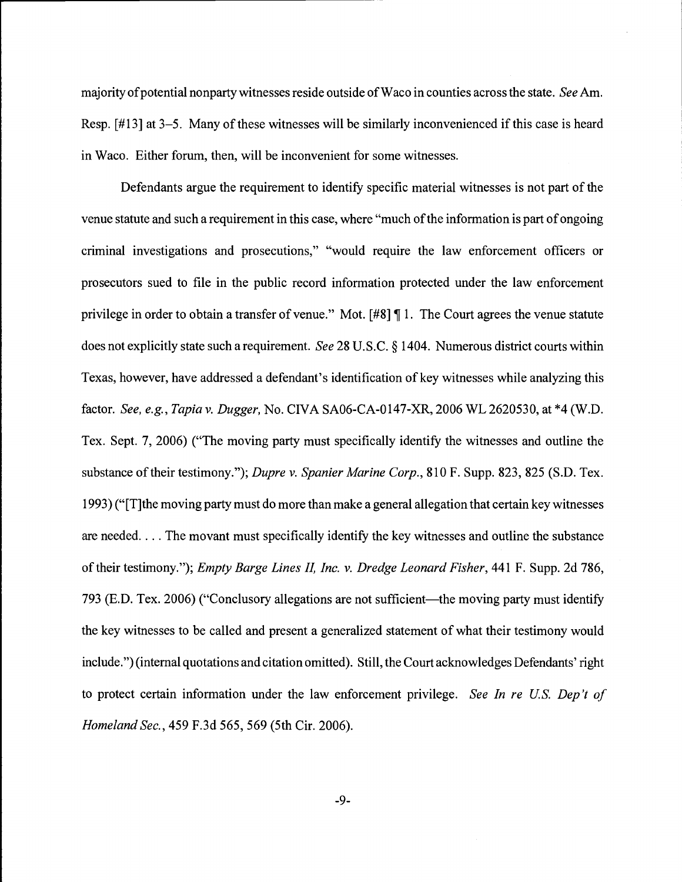majority of potential nonparty witnesses reside outside of Waco in counties across the state. See Am. Resp. [#13] at 3-5. Many of these witnesses will be similarly inconvenienced if this case is heard in Waco. Either forum, then, will be inconvenient for some witnesses.

Defendants argue the requirement to identify specific material witnesses is not part of the venue statute and such a requirement in this case, where "much of the information is part of ongoing criminal investigations and prosecutions," "would require the law enforcement officers or prosecutors sued to file in the public record information protected under the law enforcement privilege in order to obtain a transfer of venue." Mot. [#8] ¶ 1. The Court agrees the venue statute does not explicitly state such a requirement. See 28 U.S.C. § 1404. Numerous district courts within Texas, however, have addressed a defendant's identification of key witnesses while analyzing this factor. See, e.g., Tapia v. Dugger, No. CIVA SAO6-CA-0147-XR, 2006 WL 2620530, at \*4 (W.D. Tex. Sept. 7, 2006) ("The moving party must specifically identify the witnesses and outline the substance of their testimony."); Dupre v. Spanier Marine Corp., 810 F. Supp. 823, 825 (S.D. Tex. 1993) ("[TIthe moving party must do more than make a general allegation that certain key witnesses are needed. . . . The movant must specifically identify the key witnesses and outline the substance of their testimony."); Empty Barge Lines II, Inc. v. Dredge Leonard Fisher, 441 F. Supp. 2d 786, 793 (E.D. Tex. 2006) ("Conclusory allegations are not sufficient—the moving party must identify the key witnesses to be called and present a generalized statement of what their testimony would include.") (internal quotations and citation omitted). Still, the Court acknowledges Defendants' right to protect certain information under the law enforcement privilege. See In re U.S. Dep't of Homeland Sec., 459 F.3d 565, 569 (5th Cir. 2006).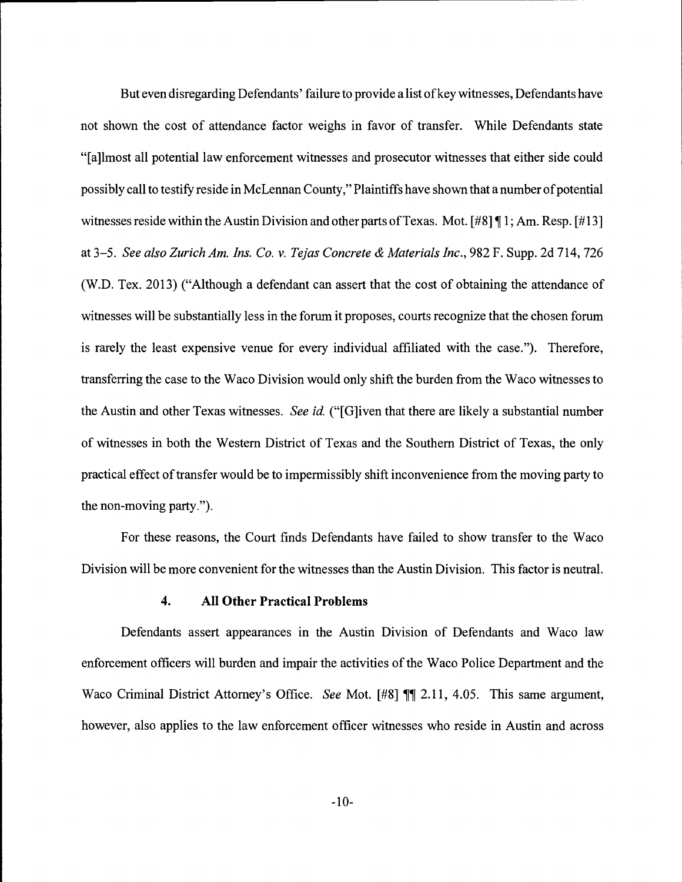But even disregarding Defendants' failure to provide a list of key witnesses, Defendants have not shown the cost of attendance factor weighs in favor of transfer. While Defendants state "[a]lmost all potential law enforcement witnesses and prosecutor witnesses that either side could possibly call to testify reside in McLennan County," Plaintiffs have shown that a number of potential witnesses reside within the Austin Division and other parts of Texas. Mot. [#8] ¶ 1; Am. Resp. [#13] at 3-5. See also Zurich Am. Ins. Co. v. Tejas Concrete & Materials Inc., 982 F. Supp. 2d 714, 726 (W.D. Tex. 2013) ("Although a defendant can assert that the cost of obtaining the attendance of witnesses will be substantially less in the forum it proposes, courts recognize that the chosen forum is rarely the least expensive venue for every individual affiliated with the case."). Therefore, transferring the case to the Waco Division would only shift the burden from the Waco witnesses to the Austin and other Texas witnesses. See id. ("[G]iven that there are likely a substantial number of witnesses in both the Western District of Texas and the Southern District of Texas, the only practical effect of transfer would be to impermissibly shift inconvenience from the moving party to the non-moving party.")

For these reasons, the Court finds Defendants have failed to show transfer to the Waco Division will be more convenient for the witnesses than the Austin Division. This factor is neutral.

### 4. All Other Practical Problems

Defendants assert appearances in the Austin Division of Defendants and Waco law enforcement officers will burden and impair the activities of the Waco Police Department and the Waco Criminal District Attorney's Office. See Mot.  $[#8]$  ¶. 2.11, 4.05. This same argument, however, also applies to the law enforcement officer witnesses who reside in Austin and across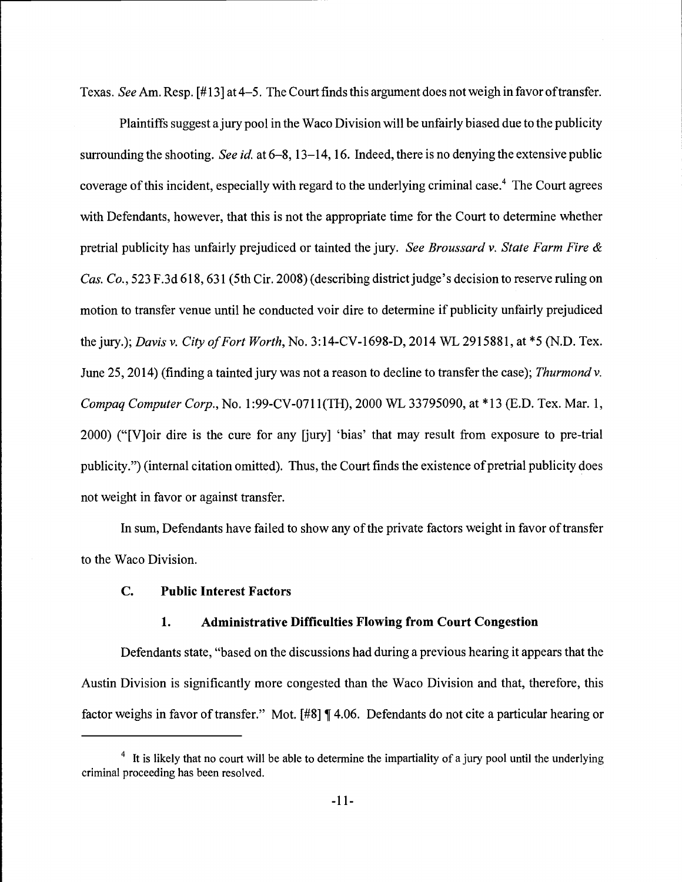Texas. See Am. Resp. [#13] at 4-5. The Court finds this argument does not weigh in favor of transfer.

Plaintiffs suggest a jury pool in the Waco Division will be unfairly biased due to the publicity surrounding the shooting. See id. at 6-8, 13-14, 16. Indeed, there is no denying the extensive public coverage of this incident, especially with regard to the underlying criminal case.<sup>4</sup> The Court agrees with Defendants, however, that this is not the appropriate time for the Court to determine whether pretrial publicity has unfairly prejudiced or tainted the jury. See Broussard v. State Farm Fire  $\&$ Cas. Co., 523 F.3d 618, 631 (5th Cir. 2008) (describing district judge's decision to reserve ruling on motion to transfer venue until he conducted voir dire to determine if publicity unfairly prejudiced the jury.); Davis v. City of Fort Worth, No. 3:14-CV-1698-D, 2014 WL 2915881, at \*5 (N.D. Tex. June 25, 2014) (finding a tainted jury was not a reason to decline to transfer the case); Thurmond v. Compaq Computer Corp., No. 1:99-CV-0711(TH), 2000 WL 33795090, at \*13 (E.D. Tex. Mar. 1, 2000) ("[V]oir dire is the cure for any [jury] 'bias' that may result from exposure to pre-trial publicity.") (internal citation omitted). Thus, the Court finds the existence of pretrial publicity does not weight in favor or against transfer.

In sum, Defendants have failed to show any of the private factors weight in favor of transfer to the Waco Division.

## C. Public Interest Factors

## 1. Administrative Difficulties Flowing from Court Congestion

Defendants state, "based on the discussions had during a previous hearing it appears that the Austin Division is significantly more congested than the Waco Division and that, therefore, this factor weighs in favor of transfer." Mot. [#8] ¶ 4.06. Defendants do not cite a particular hearing or

 $\frac{4}{1}$  It is likely that no court will be able to determine the impartiality of a jury pool until the underlying criminal proceeding has been resolved.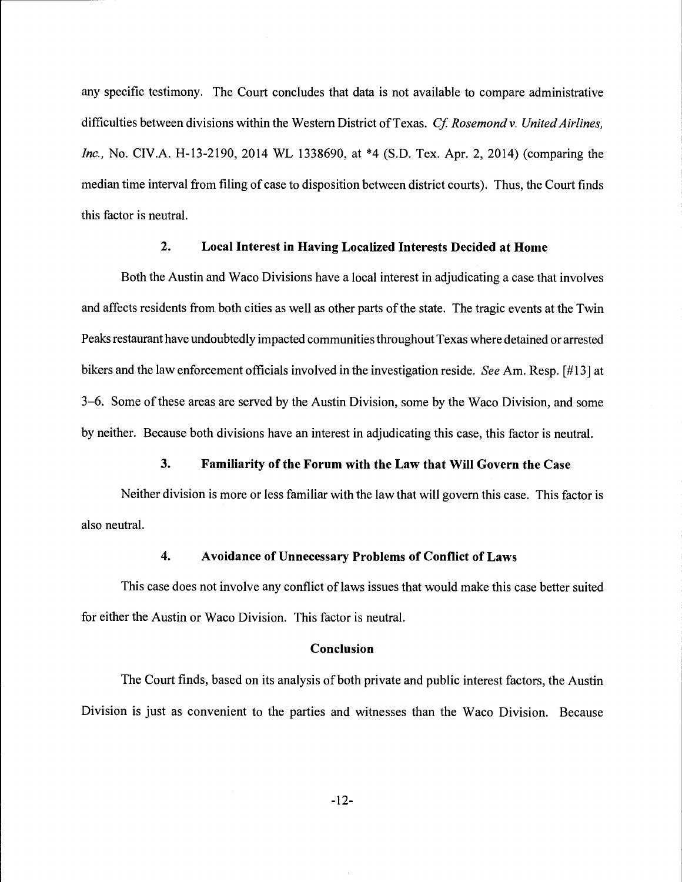any specific testimony. The Court concludes that data is not available to compare administrative difficulties between divisions within the Western District of Texas. Cf. Rosemond v. United Airlines, Inc., No. CIV.A. H-13-2190, 2014 WL 1338690, at \*4 (S.D. Tex. Apr. 2, 2014) (comparing the median time interval from filing of case to disposition between district courts). Thus, the Court finds this factor is neutral.

# 2. Local Interest in Having Localized Interests Decided at Home

Both the Austin and Waco Divisions have a local interest in adjudicating a case that involves and affects residents from both cities as well as other parts of the state. The tragic events at the Twin Peaks restaurant have undoubtedly impacted communities throughout Texas where detained or arrested bikers and the law enforcement officials involved in the investigation reside. See Am. Resp. [#13] at 3-6. Some of these areas are served by the Austin Division, some by the Waco Division, and some by neither. Because both divisions have an interest in adjudicating this case, this factor is neutral.

### 3. Familiarity of the Forum with the Law that Will Govern the Case

Neither division is more or less familiar with the law that will govern this case. This factor is also neutral.

#### 4. Avoidance of Unnecessary Problems of Conflict of Laws

This case does not involve any conflict of laws issues that would make this case better suited for either the Austin or Waco Division. This factor is neutral.

#### Conclusion

The Court finds, based on its analysis of both private and public interest factors, the Austin Division is just as convenient to the parties and witnesses than the Waco Division. Because